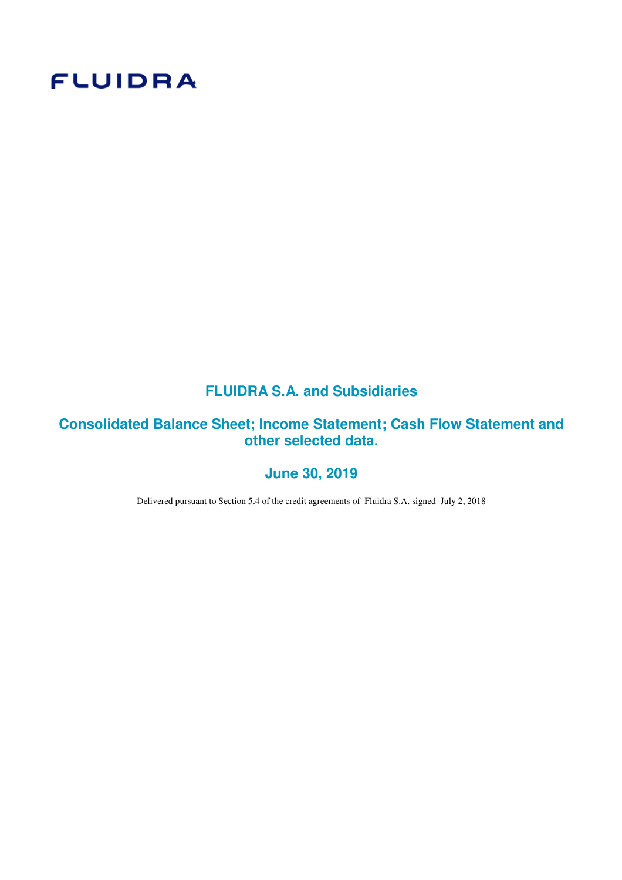# **FLUIDRA**

# **FLUIDRA S.A. and Subsidiaries**

**Consolidated Balance Sheet; Income Statement; Cash Flow Statement and other selected data.** 

# **June 30, 2019**

Delivered pursuant to Section 5.4 of the credit agreements of Fluidra S.A. signed July 2, 2018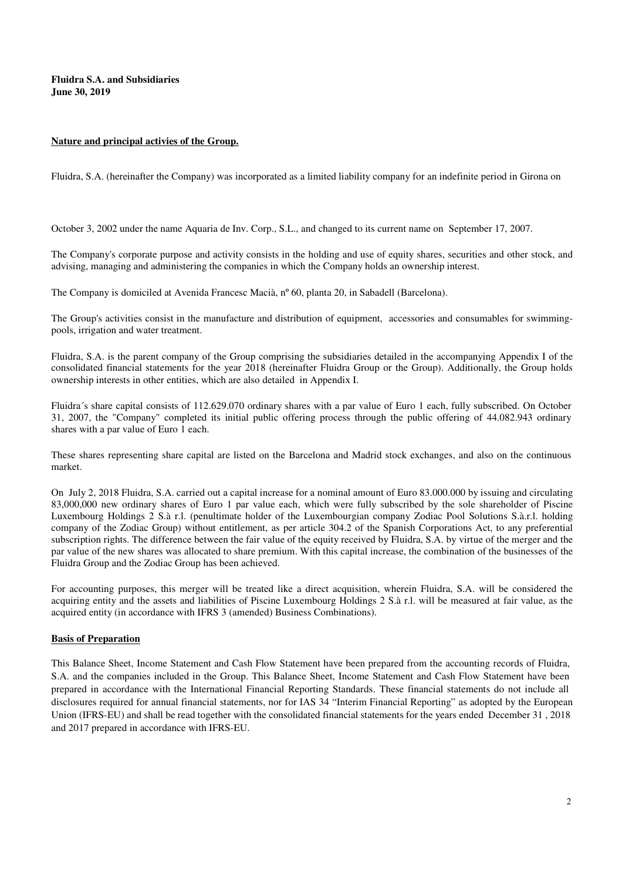#### **Nature and principal activies of the Group.**

Fluidra, S.A. (hereinafter the Company) was incorporated as a limited liability company for an indefinite period in Girona on

October 3, 2002 under the name Aquaria de Inv. Corp., S.L., and changed to its current name on September 17, 2007.

The Company's corporate purpose and activity consists in the holding and use of equity shares, securities and other stock, and advising, managing and administering the companies in which the Company holds an ownership interest.

The Company is domiciled at Avenida Francesc Macià, nº 60, planta 20, in Sabadell (Barcelona).

The Group's activities consist in the manufacture and distribution of equipment, accessories and consumables for swimmingpools, irrigation and water treatment.

Fluidra, S.A. is the parent company of the Group comprising the subsidiaries detailed in the accompanying Appendix I of the consolidated financial statements for the year 2018 (hereinafter Fluidra Group or the Group). Additionally, the Group holds ownership interests in other entities, which are also detailed in Appendix I.

Fluidra´s share capital consists of 112.629.070 ordinary shares with a par value of Euro 1 each, fully subscribed. On October 31, 2007, the "Company" completed its initial public offering process through the public offering of 44.082.943 ordinary shares with a par value of Euro 1 each.

These shares representing share capital are listed on the Barcelona and Madrid stock exchanges, and also on the continuous market.

On July 2, 2018 Fluidra, S.A. carried out a capital increase for a nominal amount of Euro 83.000.000 by issuing and circulating 83,000,000 new ordinary shares of Euro 1 par value each, which were fully subscribed by the sole shareholder of Piscine Luxembourg Holdings 2 S.à r.l. (penultimate holder of the Luxembourgian company Zodiac Pool Solutions S.à.r.l. holding company of the Zodiac Group) without entitlement, as per article 304.2 of the Spanish Corporations Act, to any preferential subscription rights. The difference between the fair value of the equity received by Fluidra, S.A. by virtue of the merger and the par value of the new shares was allocated to share premium. With this capital increase, the combination of the businesses of the Fluidra Group and the Zodiac Group has been achieved.

For accounting purposes, this merger will be treated like a direct acquisition, wherein Fluidra, S.A. will be considered the acquiring entity and the assets and liabilities of Piscine Luxembourg Holdings 2 S.à r.l. will be measured at fair value, as the acquired entity (in accordance with IFRS 3 (amended) Business Combinations).

#### **Basis of Preparation**

This Balance Sheet, Income Statement and Cash Flow Statement have been prepared from the accounting records of Fluidra, S.A. and the companies included in the Group. This Balance Sheet, Income Statement and Cash Flow Statement have been prepared in accordance with the International Financial Reporting Standards. These financial statements do not include all disclosures required for annual financial statements, nor for IAS 34 "Interim Financial Reporting" as adopted by the European Union ( IFRS-EU) and shall be read together with the consolidated financial statements for the years ended December 31 , 2018 and 2017 prepared in accordance with IFRS-EU.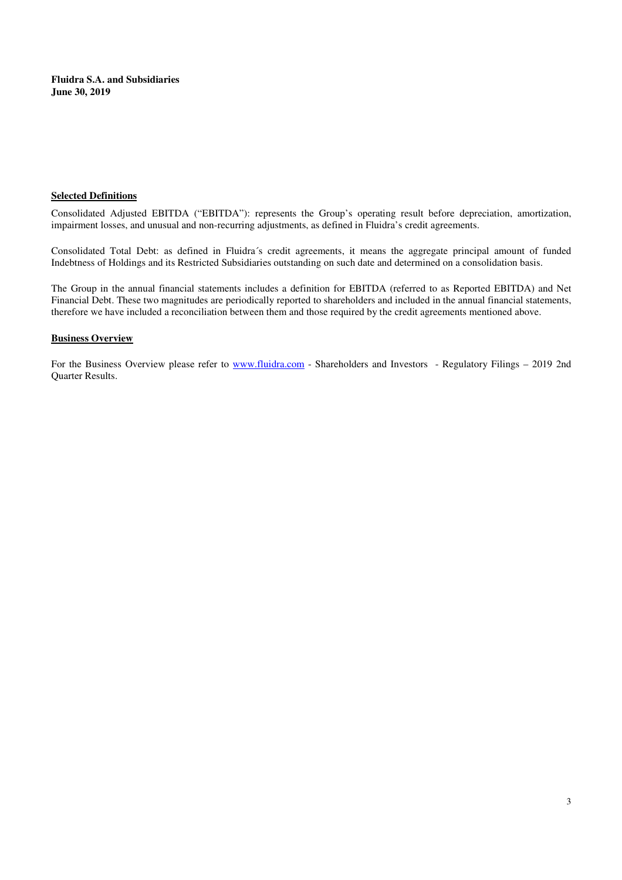#### **Selected Definitions**

Consolidated Adjusted EBITDA ("EBITDA"): represents the Group's operating result before depreciation, amortization, impairment losses, and unusual and non-recurring adjustments, as defined in Fluidra's credit agreements.

Consolidated Total Debt: as defined in Fluidra´s credit agreements, it means the aggregate principal amount of funded Indebtness of Holdings and its Restricted Subsidiaries outstanding on such date and determined on a consolidation basis.

The Group in the annual financial statements includes a definition for EBITDA (referred to as Reported EBITDA) and Net Financial Debt. These two magnitudes are periodically reported to shareholders and included in the annual financial statements, therefore we have included a reconciliation between them and those required by the credit agreements mentioned above.

#### **Business Overview**

For the Business Overview please refer to www.fluidra.com - Shareholders and Investors - Regulatory Filings – 2019 2nd Quarter Results.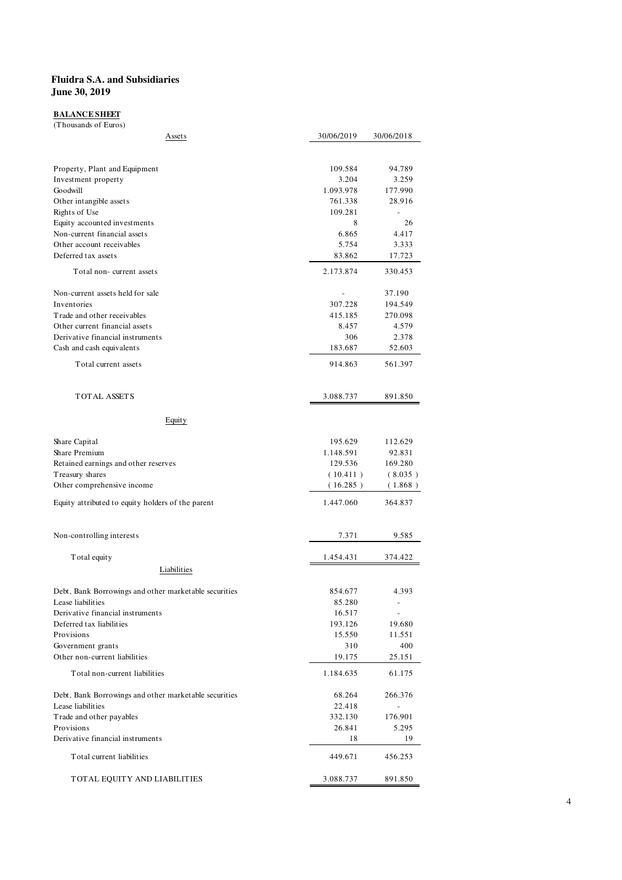# **BALANCE SHEET**

| (Thousands of Euros)                                          |                |                          |
|---------------------------------------------------------------|----------------|--------------------------|
| Assets                                                        | 30/06/2019     | 30/06/2018               |
|                                                               | 109.584        | 94.789                   |
| Property, Plant and Equipment<br>Investment property          | 3.204          | 3.259                    |
| Goodwill                                                      | 1.093.978      | 177.990                  |
| Other intangible assets                                       | 761.338        | 28.916                   |
| Rights of Use                                                 | 109.281        |                          |
| Equity accounted investments                                  | 8              | 26                       |
| Non-current financial assets                                  | 6.865          | 4.417                    |
| Other account receivables                                     | 5.754          | 3.333                    |
| Deferred tax assets                                           | 83.862         | 17.723                   |
| Total non-current assets                                      | 2.173.874      | 330.453                  |
| Non-current assets held for sale                              |                | 37.190                   |
| Inventories                                                   | 307.228        | 194.549                  |
| Trade and other receivables                                   | 415.185        | 270.098                  |
| Other current financial assets                                | 8.457          | 4.579                    |
| Derivative financial instruments<br>Cash and cash equivalents | 306<br>183.687 | 2.378<br>52.603          |
| Total current assets                                          | 914.863        | 561.397                  |
|                                                               |                |                          |
| TOTAL ASSETS                                                  | 3.088.737      | 891.850                  |
| Equit y                                                       |                |                          |
| Share Capital                                                 | 195.629        | 112.629                  |
| Share Premium                                                 | 1.148.591      | 92.831                   |
| Retained earnings and other reserves                          | 129.536        | 169.280                  |
| Treasury shares                                               | (10.411)       | (.8.035)                 |
| Other comprehensive income                                    | (16.285)       | (1.868)                  |
| Equity attributed to equity holders of the parent             | 1.447.060      | 364.837                  |
| Non-controlling interests                                     | 7.371          | 9.585                    |
| Total equity                                                  | 1.454.431      | 374.422                  |
| Liabilities                                                   |                |                          |
| Debt, Bank Borrowings and other marketable securities         | 854.677        | 4.393                    |
| Lease liabilities                                             | 85.280         | $\overline{\phantom{a}}$ |
| Derivative financial instruments                              | 16.517         |                          |
| Deferred tax liabilities                                      | 193.126        | 19.680                   |
| Provisions                                                    | 15.550         | 11.551                   |
| Government grants                                             | 310            | 400                      |
| Other non-current liabilities                                 | 19.175         | 25.151                   |
| Total non-current liabilities                                 | 1.184.635      | 61.175                   |
| Debt, Bank Borrowings and other marketable securities         | 68.264         | 266.376                  |
| Lease liabilities                                             | 22.418         | $\frac{1}{2}$            |
| Trade and other payables                                      | 332.130        | 176.901                  |
| Provisions                                                    | 26.841         | 5.295                    |
| Derivative financial instruments                              | 18             | 19                       |
| Total current liabilities                                     | 449.671        | 456.253                  |
| TOTAL EQUITY AND LIABILITIES                                  | 3.088.737      | 891.850                  |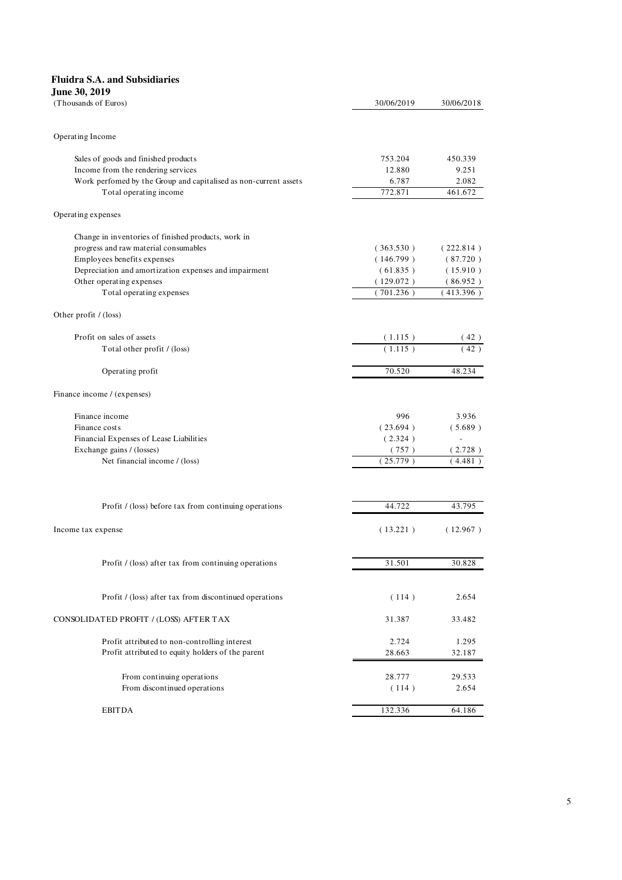| <b>Fluidra S.A. and Subsidiaries</b><br>June 30, 2019            |                        |                      |
|------------------------------------------------------------------|------------------------|----------------------|
| (Thousands of Euros)                                             | 30/06/2019             | 30/06/2018           |
| Operating Income                                                 |                        |                      |
| Sales of goods and finished products                             | 753.204                | 450.339              |
| Income from the rendering services                               | 12.880                 | 9.251                |
| Work perfomed by the Group and capitalised as non-current assets | 6.787                  | 2.082                |
| Total operating income                                           | 772.871                | 461.672              |
| Operating expenses                                               |                        |                      |
| Change in inventories of finished products, work in              |                        |                      |
| progress and raw material consumables                            | (363.530)              | (222.814)            |
| Employees benefits expenses                                      | (146.799)              | (87.720)             |
| Depreciation and amortization expenses and impairment            | (61.835)               | (15.910)             |
| Other operating expenses<br>Total operating expenses             | (129.072)<br>(701.236) | (86.952)<br>413.396) |
| Other profit / (loss)                                            |                        |                      |
|                                                                  |                        |                      |
| Profit on sales of assets<br>Total other profit / (loss)         | (1.115)<br>(1.115)     | (42)<br>42)          |
|                                                                  |                        |                      |
| Operating profit                                                 | 70.520                 | 48.234               |
| Finance income / (expenses)                                      |                        |                      |
| Finance income                                                   | 996                    | 3.936                |
| Finance costs                                                    | (23.694)               | (.5.689)             |
| Financial Expenses of Lease Liabilities                          | (2.324)                | $\overline{a}$       |
| Exchange gains / (losses)                                        | (757)                  | (.2.728)             |
| Net financial income / (loss)                                    | (25.779)               | (4.481)              |
| Profit / (loss) before tax from continuing operations            | 44.722                 | 43.795               |
|                                                                  |                        |                      |
| Income tax expense                                               | (13.221)               | (12.967)             |
| Profit / (loss) after tax from continuing operations             | 31.501                 | 30.828               |
|                                                                  |                        |                      |
| Profit / (loss) after tax from discontinued operations           | (114)                  | 2.654                |
| CONSOLIDATED PROFIT / (LOSS) AFTER TAX                           | 31.387                 | 33.482               |
| Profit attributed to non-controlling interest                    | 2.724                  | 1.295                |
| Profit attributed to equity holders of the parent                | 28.663                 | 32.187               |
| From continuing operations                                       | 28.777                 | 29.533               |
| From discontinued operations                                     | (114)                  | 2.654                |
|                                                                  |                        |                      |

EBITDA 64.186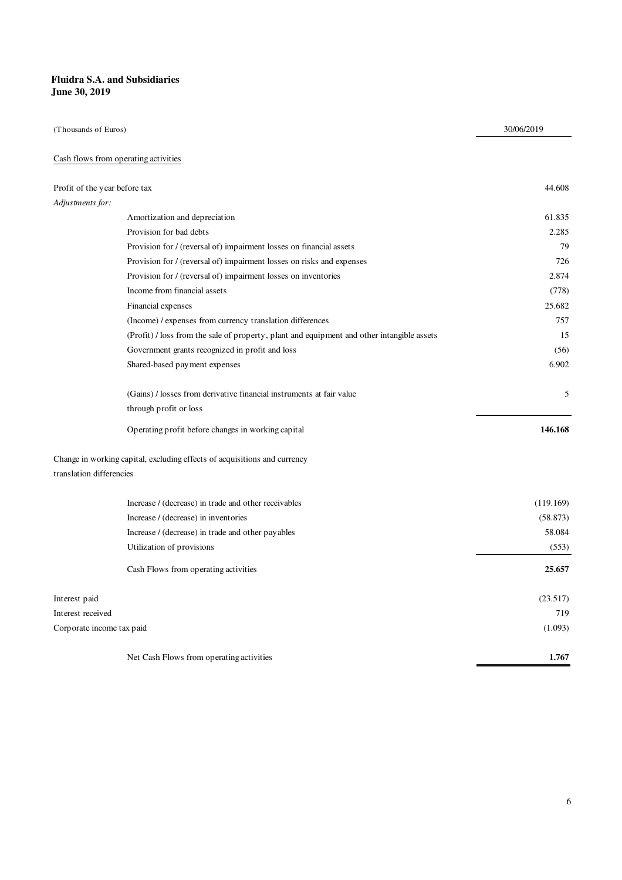| (Thousands of Euros)          |                                                                                            | 30/06/2019 |
|-------------------------------|--------------------------------------------------------------------------------------------|------------|
|                               | Cash flows from operating activities                                                       |            |
| Profit of the year before tax |                                                                                            | 44.608     |
| Adjustments for:              |                                                                                            |            |
|                               | Amortization and depreciation                                                              | 61.835     |
|                               | Provision for bad debts                                                                    | 2.285      |
|                               | Provision for / (reversal of) impairment losses on financial assets                        | 79         |
|                               | Provision for / (reversal of) impairment losses on risks and expenses                      | 726        |
|                               | Provision for / (reversal of) impairment losses on inventories                             | 2.874      |
|                               | Income from financial assets                                                               | (778)      |
|                               | Financial expenses                                                                         | 25.682     |
|                               | (Income) / expenses from currency translation differences                                  | 757        |
|                               | (Profit) / loss from the sale of property, plant and equipment and other intangible assets | 15         |
|                               | Government grants recognized in profit and loss                                            | (56)       |
|                               | Shared-based payment expenses                                                              | 6.902      |
|                               | (Gains) / losses from derivative financial instruments at fair value                       | 5          |
|                               | through profit or loss                                                                     |            |
|                               | Operating profit before changes in working capital                                         | 146.168    |
|                               | Change in working capital, excluding effects of acquisitions and currency                  |            |
| translation differencies      |                                                                                            |            |
|                               | Increase / (decrease) in trade and other receivables                                       | (119.169)  |
|                               | Increase / (decrease) in inventories                                                       | (58.873)   |
|                               | Increase / (decrease) in trade and other payables                                          | 58.084     |
|                               | Utilization of provisions                                                                  | (553)      |
|                               | Cash Flows from operating activities                                                       | 25.657     |
| Interest paid                 |                                                                                            | (23.517)   |
| Interest received             |                                                                                            | 719        |
| Corporate income tax paid     |                                                                                            | (1.093)    |
|                               | Net Cash Flows from operating activities                                                   | 1.767      |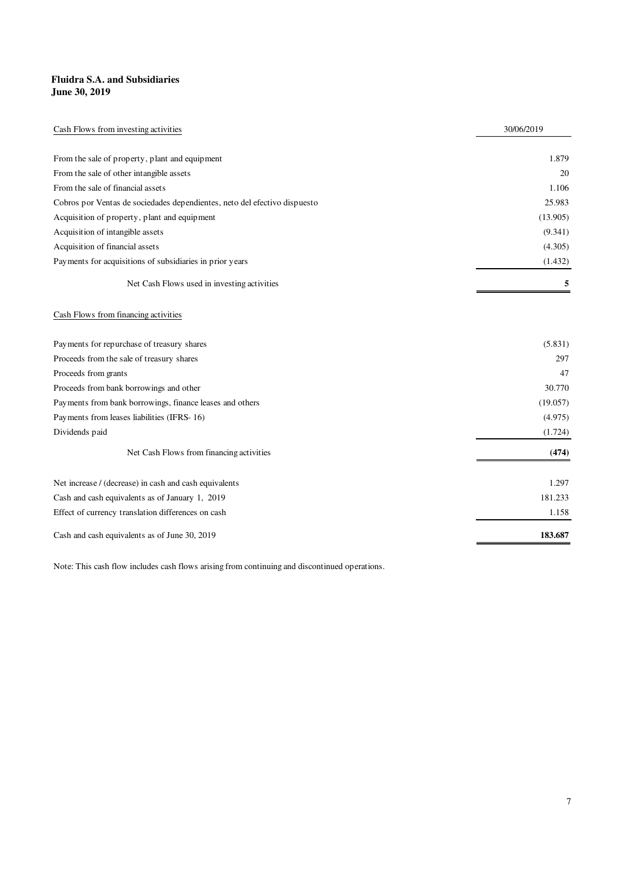| Cash Flows from investing activities                                      | 30/06/2019 |
|---------------------------------------------------------------------------|------------|
|                                                                           |            |
| From the sale of property, plant and equipment                            | 1.879      |
| From the sale of other intangible assets                                  | 20         |
| From the sale of financial assets                                         | 1.106      |
| Cobros por Ventas de sociedades dependientes, neto del efectivo dispuesto | 25.983     |
| Acquisition of property, plant and equipment                              | (13.905)   |
| Acquisition of intangible assets                                          | (9.341)    |
| Acquisition of financial assets                                           | (4.305)    |
| Payments for acquisitions of subsidiaries in prior years                  | (1.432)    |
| Net Cash Flows used in investing activities                               | 5          |
| Cash Flows from financing activities                                      |            |
| Payments for repurchase of treasury shares                                | (5.831)    |
| Proceeds from the sale of treasury shares                                 | 297        |
| Proceeds from grants                                                      | 47         |
| Proceeds from bank borrowings and other                                   | 30.770     |
| Payments from bank borrowings, finance leases and others                  | (19.057)   |
| Payments from leases liabilities (IFRS-16)                                | (4.975)    |
| Dividends paid                                                            | (1.724)    |
| Net Cash Flows from financing activities                                  | (474)      |
| Net increase / (decrease) in cash and cash equivalents                    | 1.297      |
| Cash and cash equivalents as of January 1, 2019                           | 181.233    |
| Effect of currency translation differences on cash                        | 1.158      |
| Cash and cash equivalents as of June 30, 2019                             | 183.687    |

Note: This cash flow includes cash flows arising from continuing and discontinued operations.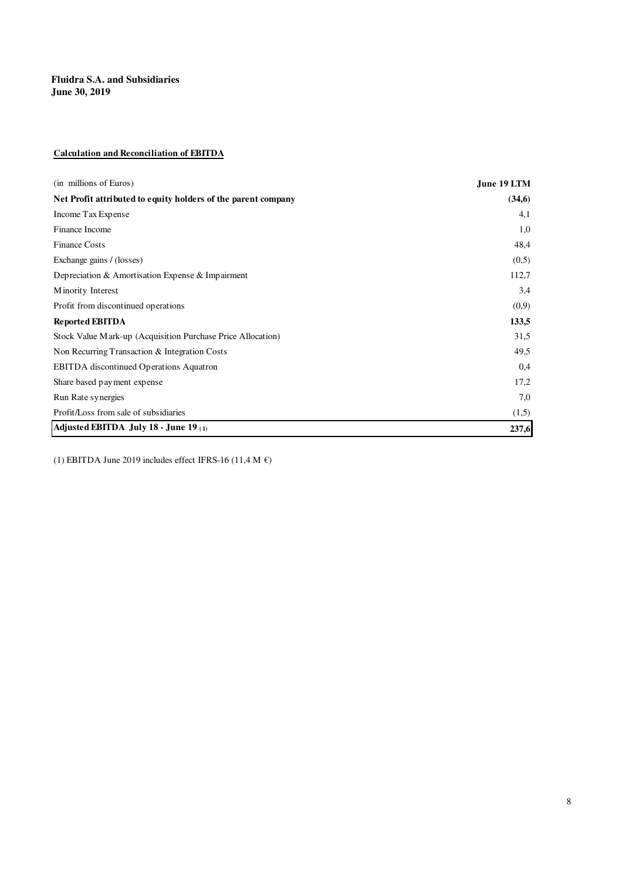# **Calculation and Reconciliation of EBITDA**

| (in millions of Euros)                                        | June 19 LTM |
|---------------------------------------------------------------|-------------|
| Net Profit attributed to equity holders of the parent company | (34,6)      |
| Income Tax Expense                                            | 4,1         |
| Finance Income                                                | 1,0         |
| <b>Finance Costs</b>                                          | 48,4        |
| Exchange gains / (losses)                                     | (0,5)       |
| Depreciation & Amortisation Expense & Impairment              | 112,7       |
| Minority Interest                                             | 3,4         |
| Profit from discontinued operations                           | (0,9)       |
| <b>Reported EBITDA</b>                                        | 133,5       |
| Stock Value Mark-up (Acquisition Purchase Price Allocation)   | 31,5        |
| Non Recurring Transaction & Integration Costs                 | 49,5        |
| <b>EBITDA</b> discontinued Operations Aquatron                | 0,4         |
| Share based payment expense                                   | 17,2        |
| Run Rate synergies                                            | 7,0         |
| Profit/Loss from sale of subsidiaries                         | (1,5)       |
| Adjusted EBITDA July 18 - June 19 (1)                         | 237,6       |

(1) EBITDA June 2019 includes effect IFRS-16 (11,4 M  $\epsilon$ )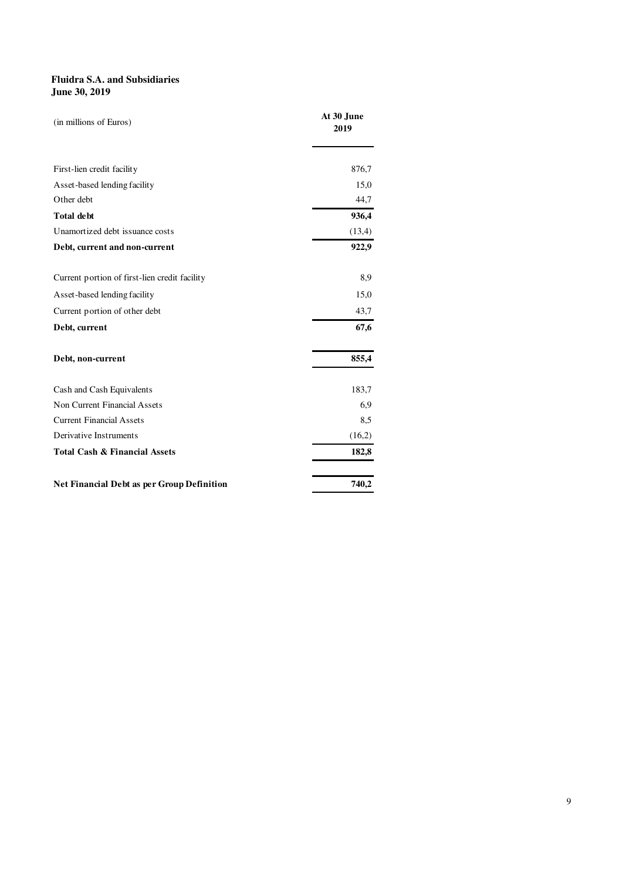| (in millions of Euros)                            | At 30 June<br>2019 |
|---------------------------------------------------|--------------------|
| First-lien credit facility                        | 876,7              |
| Asset-based lending facility                      | 15,0               |
| Other debt                                        | 44,7               |
| <b>Total debt</b>                                 | 936,4              |
| Unamortized debt issuance costs                   | (13,4)             |
| Debt, current and non-current                     | 922,9              |
| Current portion of first-lien credit facility     | 8.9                |
| Asset-based lending facility                      | 15,0               |
| Current portion of other debt                     | 43,7               |
| Debt, current                                     | 67,6               |
| Debt, non-current                                 | 855,4              |
| Cash and Cash Equivalents                         | 183,7              |
| Non Current Financial Assets                      | 6.9                |
| <b>Current Financial Assets</b>                   | 8,5                |
| Derivative Instruments                            | (16,2)             |
| <b>Total Cash &amp; Financial Assets</b>          | 182,8              |
| <b>Net Financial Debt as per Group Definition</b> | 740,2              |